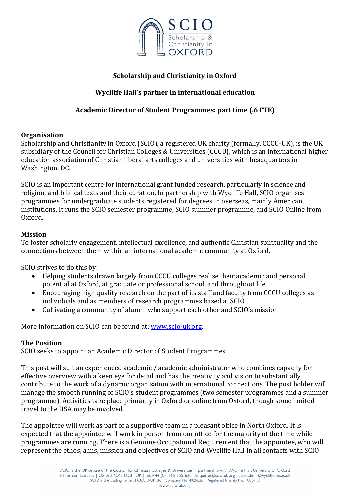

## **Scholarship and Christianity in Oxford**

## **Wycliffe Hall's partner in international education**

## **Academic Director of Student Programmes: part time (.6 FTE)**

#### **Organisation**

Scholarship and Christianity in Oxford (SCIO), a registered UK charity (formally, CCCU-UK), is the UK subsidiary of the Council for Christian Colleges & Universities (CCCU), which is an international higher education association of Christian liberal arts colleges and universities with headquarters in Washington, DC.

SCIO is an important centre for international grant funded research, particularly in science and religion, and biblical texts and their curation. In partnership with Wycliffe Hall, SCIO organises programmes for undergraduate students registered for degrees in overseas, mainly American, institutions. It runs the SCIO semester programme, SCIO summer programme, and SCIO Online from Oxford. 

#### **Mission**

To foster scholarly engagement, intellectual excellence, and authentic Christian spirituality and the connections between them within an international academic community at Oxford.

SCIO strives to do this by:

- Helping students drawn largely from CCCU colleges realise their academic and personal potential at Oxford, at graduate or professional school, and throughout life
- Encouraging high quality research on the part of its staff and faculty from CCCU colleges as individuals and as members of research programmes based at SCIO
- Cultivating a community of alumni who support each other and SCIO's mission

More information on SCIO can be found at: www.scio-uk.org.

#### **The Position**

SCIO seeks to appoint an Academic Director of Student Programmes

This post will suit an experienced academic / academic administrator who combines capacity for effective overview with a keen eye for detail and has the creativity and vision to substantially contribute to the work of a dynamic organisation with international connections. The post holder will manage the smooth running of SCIO's student programmes (two semester programmes and a summer programme). Activities take place primarily in Oxford or online from Oxford, though some limited travel to the USA may be involved.

The appointee will work as part of a supportive team in a pleasant office in North Oxford. It is expected that the appointee will work in person from our office for the majority of the time while programmes are running. There is a Genuine Occupational Requirement that the appointee, who will represent the ethos, aims, mission and objectives of SCIO and Wycliffe Hall in all contacts with SCIO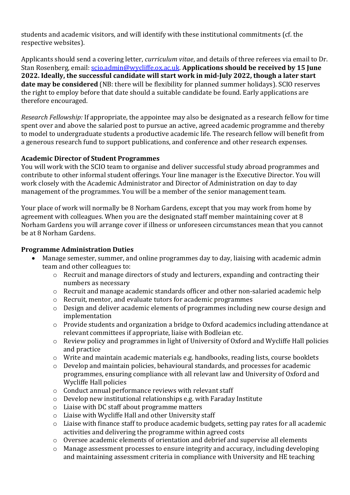students and academic visitors, and will identify with these institutional commitments (cf. the respective websites).

Applicants should send a covering letter, *curriculum vitae*, and details of three referees via email to Dr. Stan Rosenberg, email: scio.admin@wycliffe.ox.ac.uk. **Applications should be received by 15 June 2022. Ideally, the successful candidate will start work in mid-July 2022, though a later start date may be considered** (NB: there will be flexibility for planned summer holidays). SCIO reserves the right to employ before that date should a suitable candidate be found. Early applications are therefore encouraged.

*Research Fellowship:* If appropriate, the appointee may also be designated as a research fellow for time spent over and above the salaried post to pursue an active, agreed academic programme and thereby to model to undergraduate students a productive academic life. The research fellow will benefit from a generous research fund to support publications, and conference and other research expenses.

### **Academic Director of Student Programmes**

You will work with the SCIO team to organise and deliver successful study abroad programmes and contribute to other informal student offerings. Your line manager is the Executive Director. You will work closely with the Academic Administrator and Director of Administration on day to day management of the programmes. You will be a member of the senior management team.

Your place of work will normally be 8 Norham Gardens, except that you may work from home by agreement with colleagues. When you are the designated staff member maintaining cover at 8 Norham Gardens you will arrange cover if illness or unforeseen circumstances mean that you cannot be at 8 Norham Gardens.

#### **Programme Administration Duties**

- Manage semester, summer, and online programmes day to day, liaising with academic admin team and other colleagues to:
	- $\circ$  Recruit and manage directors of study and lecturers, expanding and contracting their numbers as necessary
	- $\circ$  Recruit and manage academic standards officer and other non-salaried academic help
	- $\circ$  Recruit, mentor, and evaluate tutors for academic programmes
	- $\circ$  Design and deliver academic elements of programmes including new course design and implementation
	- $\circ$  Provide students and organization a bridge to Oxford academics including attendance at relevant committees if appropriate, liaise with Bodleian etc.
	- $\circ$  Review policy and programmes in light of University of Oxford and Wycliffe Hall policies and practice
	- $\circ$  Write and maintain academic materials e.g. handbooks, reading lists, course booklets
	- $\circ$  Develop and maintain policies, behavioural standards, and processes for academic programmes, ensuring compliance with all relevant law and University of Oxford and Wycliffe Hall policies
	- $\circ$  Conduct annual performance reviews with relevant staff
	- $\circ$  Develop new institutional relationships e.g. with Faraday Institute
	- $\circ$  Liaise with DC staff about programme matters
	- $\circ$  Liaise with Wycliffe Hall and other University staff
	- $\circ$  Liaise with finance staff to produce academic budgets, setting pay rates for all academic activities and delivering the programme within agreed costs
	- $\circ$  Oversee academic elements of orientation and debrief and supervise all elements
	- $\circ$  Manage assessment processes to ensure integrity and accuracy, including developing and maintaining assessment criteria in compliance with University and HE teaching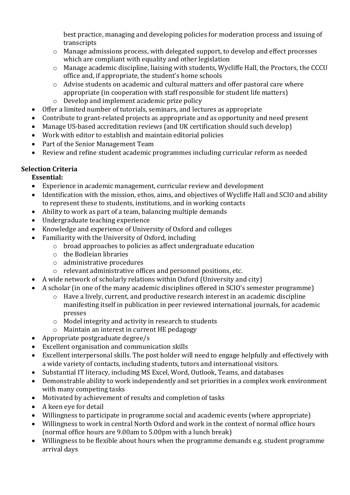best practice, managing and developing policies for moderation process and issuing of transcripts

- $\circ$  Manage admissions process, with delegated support, to develop and effect processes which are compliant with equality and other legislation
- $\circ$  Manage academic discipline, liaising with students, Wycliffe Hall, the Proctors, the CCCU office and, if appropriate, the student's home schools
- $\circ$  Advise students on academic and cultural matters and offer pastoral care where appropriate (in cooperation with staff responsible for student life matters)
- $\circ$  Develop and implement academic prize policy
- Offer a limited number of tutorials, seminars, and lectures as appropriate
- Contribute to grant-related projects as appropriate and as opportunity and need present
- Manage US-based accreditation reviews (and UK certification should such develop)
- Work with editor to establish and maintain editorial policies
- Part of the Senior Management Team
- Review and refine student academic programmes including curricular reform as needed

# **Selection Criteria**

# **Essential:**

- Experience in academic management, curricular review and development
- Identification with the mission, ethos, aims, and objectives of Wycliffe Hall and SCIO and ability to represent these to students, institutions, and in working contacts
- Ability to work as part of a team, balancing multiple demands
- Undergraduate teaching experience
- Knowledge and experience of University of Oxford and colleges
- Familiarity with the University of Oxford, including
	- $\circ$  broad approaches to policies as affect undergraduate education
	- $\circ$  the Bodleian libraries
	- $\circ$  administrative procedures
	- o relevant administrative offices and personnel positions, etc.
- A wide network of scholarly relations within Oxford (University and city)
- A scholar (in one of the many academic disciplines offered in SCIO's semester programme)
	- $\circ$  Have a lively, current, and productive research interest in an academic discipline manifesting itself in publication in peer reviewed international journals, for academic presses
	- $\circ$  Model integrity and activity in research to students
	- o Maintain an interest in current HE pedagogy
- Appropriate postgraduate degree/s
- Excellent organisation and communication skills
- Excellent interpersonal skills. The post holder will need to engage helpfully and effectively with a wide variety of contacts, including students, tutors and international visitors.
- Substantial IT literacy, including MS Excel, Word, Outlook, Teams, and databases
- Demonstrable ability to work independently and set priorities in a complex work environment with many competing tasks
- Motivated by achievement of results and completion of tasks
- A keen eye for detail
- Willingness to participate in programme social and academic events (where appropriate)
- Willingness to work in central North Oxford and work in the context of normal office hours (normal office hours are 9.00am to 5.00pm with a lunch break)
- Willingness to be flexible about hours when the programme demands e.g. student programme arrival days